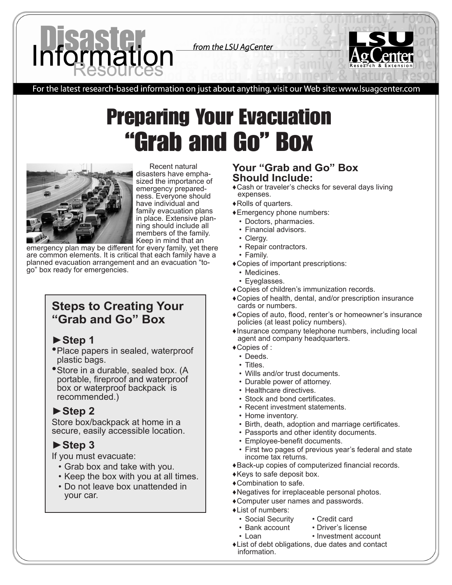

from the LSU AgCenter



For the latest research-based information on just about anything, visit our Web site: www.lsuagcenter.com

# Preparing Your Evacuation "Grab and Go" Box



Recent natural<br>disasters have emphasized the importance of<br>emergency preparedness. Everyone should have individual and family evacuation plans in place. Extensive planning should include all members of the family. Keep in mind that an

emergency plan may be different for every family, yet there are common elements. It is critical that each family have a planned evacuation arrangement and an evacuation "togo" box ready for emergencies.

## **Steps to Creating Your "Grab and Go" Box**

## **►Step 1**

- Place papers in sealed, waterproof plastic bags.
- •Store in a durable, sealed box. (A portable, fireproof and waterproof box or waterproof backpack is recommended.)

## **►Step 2**

Store box/backpack at home in a secure, easily accessible location.

# **►Step 3**

If you must evacuate:

- • Grab box and take with you.
- Keep the box with you at all times.
- Do not leave box unattended in your car.

## **Your "Grab and Go" Box Should Include:**

- ◆ Cash or traveler's checks for several days living expenses.
- ♦ Rolls of quarters.
- ♦ Emergency phone numbers:
	- Doctors, pharmacies.
	- Financial advisors.
	- Clergy.
	- Repair contractors.
	- Family.
- ♦ Copies of important prescriptions:
	- Medicines.
	- Eyeglasses.
- ♦ Copies of children's immunization records.
- ♦ Copies of health, dental, and/or prescription insurance cards or numbers.
- ♦ Copies of auto, flood, renter's or homeowner's insurance policies (at least policy numbers).
- ♦ Insurance company telephone numbers, including local agent and company headquarters.
- ◆ Copies of :
	- Deeds.
	- Titles.
	- • Wills and/or trust documents.
	- Durable power of attorney.
	- Healthcare directives.
	- Stock and bond certificates.
	- Recent investment statements.
	- Home inventory.
	- Birth, death, adoption and marriage certificates.
	- Passports and other identity documents.
	- Employee-benefit documents.
	- First two pages of previous year's federal and state income tax returns.
- ♦ Back-up copies of computerized financial records.
- ♦ Keys to safe deposit box.
- ♦ Combination to safe.
- ♦ Negatives for irreplaceable personal photos.
- ♦ Computer user names and passwords.
- ♦ List of numbers:
- 
- Social Security Credit card<br>• Bank account Driver's lice
- Bank account Driver's license<br>• Loan Investment acco • Investment account
- ♦ List of debt obligations, due dates and contact information.
-